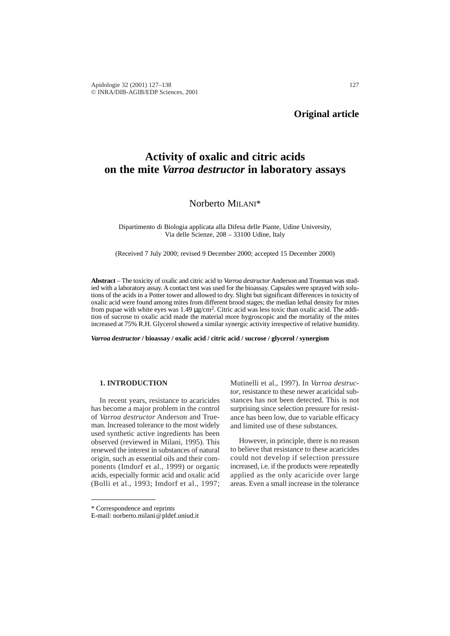# **Original article**

# **Activity of oxalic and citric acids on the mite** *Varroa destructor* **in laboratory assays**

# Norberto MILANI\*

Dipartimento di Biologia applicata alla Difesa delle Piante, Udine University, Via delle Scienze, 208 – 33100 Udine, Italy

(Received 7 July 2000; revised 9 December 2000; accepted 15 December 2000)

**Abstract** – The toxicity of oxalic and citric acid to *Varroa destructor* Anderson and Trueman was studied with a laboratory assay. A contact test was used for the bioassay. Capsules were sprayed with solutions of the acids in a Potter tower and allowed to dry. Slight but significant differences in toxicity of oxalic acid were found among mites from different brood stages; the median lethal density for mites from pupae with white eyes was 1.49  $\mu$ g/cm<sup>2</sup>. Citric acid was less toxic than oxalic acid. The addition of sucrose to oxalic acid made the material more hygroscopic and the mortality of the mites increased at 75% R.H. Glycerol showed a similar synergic activity irrespective of relative humidity.

*Varroa destructor* **/ bioassay / oxalic acid / citric acid / sucrose / glycerol / synergism**

# **1. INTRODUCTION**

In recent years, resistance to acaricides has become a major problem in the control of *Varroa destructor* Anderson and Trueman. Increased tolerance to the most widely used synthetic active ingredients has been observed (reviewed in Milani, 1995). This renewed the interest in substances of natural origin, such as essential oils and their components (Imdorf et al., 1999) or organic acids, especially formic acid and oxalic acid (Bolli et al., 1993; Imdorf et al., 1997;

Mutinelli et al., 1997). In *Varroa destructor*, resistance to these newer acaricidal substances has not been detected. This is not surprising since selection pressure for resistance has been low, due to variable efficacy and limited use of these substances.

However, in principle, there is no reason to believe that resistance to these acaricides could not develop if selection pressure increased, i.e. if the products were repeatedly applied as the only acaricide over large areas. Even a small increase in the tolerance

<sup>\*</sup> Correspondence and reprints

E-mail: norberto.milani@pldef.uniud.it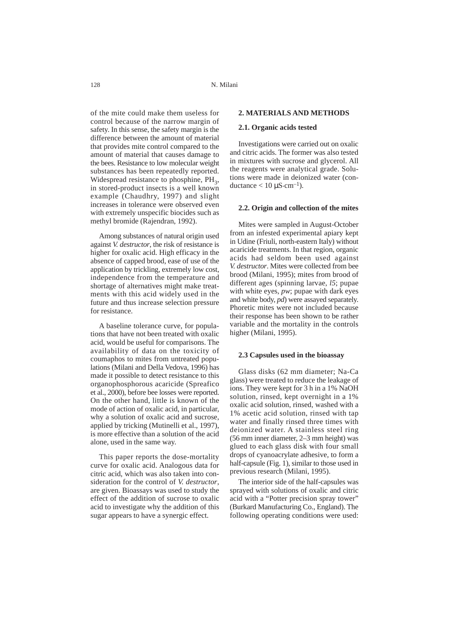of the mite could make them useless for control because of the narrow margin of safety. In this sense, the safety margin is the difference between the amount of material that provides mite control compared to the amount of material that causes damage to the bees. Resistance to low molecular weight substances has been repeatedly reported. Widespread resistance to phosphine,  $PH<sub>2</sub>$ , in stored-product insects is a well known example (Chaudhry, 1997) and slight increases in tolerance were observed even with extremely unspecific biocides such as methyl bromide (Rajendran, 1992).

Among substances of natural origin used against *V. destructor*, the risk of resistance is higher for oxalic acid. High efficacy in the absence of capped brood, ease of use of the application by trickling, extremely low cost, independence from the temperature and shortage of alternatives might make treatments with this acid widely used in the future and thus increase selection pressure for resistance.

A baseline tolerance curve, for populations that have not been treated with oxalic acid, would be useful for comparisons. The availability of data on the toxicity of coumaphos to mites from untreated populations (Milani and Della Vedova, 1996) has made it possible to detect resistance to this organophosphorous acaricide (Spreafico et al., 2000), before bee losses were reported. On the other hand, little is known of the mode of action of oxalic acid, in particular, why a solution of oxalic acid and sucrose, applied by tricking (Mutinelli et al., 1997), is more effective than a solution of the acid alone, used in the same way.

This paper reports the dose-mortality curve for oxalic acid. Analogous data for citric acid, which was also taken into consideration for the control of *V. destructor*, are given. Bioassays was used to study the effect of the addition of sucrose to oxalic acid to investigate why the addition of this sugar appears to have a synergic effect.

#### **2. MATERIALS AND METHODS**

### **2.1. Organic acids tested**

Investigations were carried out on oxalic and citric acids. The former was also tested in mixtures with sucrose and glycerol. All the reagents were analytical grade. Solutions were made in deionized water (conductance  $< 10 \mu S \cdot cm^{-1}$ ).

#### **2.2. Origin and collection of the mites**

Mites were sampled in August-October from an infested experimental apiary kept in Udine (Friuli, north-eastern Italy) without acaricide treatments. In that region, organic acids had seldom been used against *V. destructor*. Mites were collected from bee brood (Milani, 1995); mites from brood of different ages (spinning larvae, *l5*; pupae with white eyes, *pw*; pupae with dark eyes and white body, *pd*) were assayed separately. Phoretic mites were not included because their response has been shown to be rather variable and the mortality in the controls higher (Milani, 1995).

### **2.3 Capsules used in the bioassay**

Glass disks (62 mm diameter; Na-Ca glass) were treated to reduce the leakage of ions. They were kept for 3 h in a 1% NaOH solution, rinsed, kept overnight in a 1% oxalic acid solution, rinsed, washed with a 1% acetic acid solution, rinsed with tap water and finally rinsed three times with deionized water. A stainless steel ring (56 mm inner diameter, 2–3 mm height) was glued to each glass disk with four small drops of cyanoacrylate adhesive, to form a half-capsule (Fig. 1), similar to those used in previous research (Milani, 1995).

The interior side of the half-capsules was sprayed with solutions of oxalic and citric acid with a "Potter precision spray tower" (Burkard Manufacturing Co., England). The following operating conditions were used: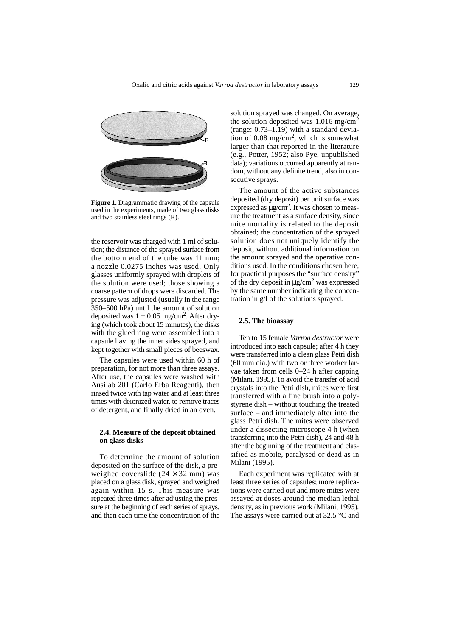

**Figure 1.** Diagrammatic drawing of the capsule used in the experiments, made of two glass disks and two stainless steel rings (R).

the reservoir was charged with 1 ml of solution; the distance of the sprayed surface from the bottom end of the tube was 11 mm; a nozzle 0.0275 inches was used. Only glasses uniformly sprayed with droplets of the solution were used; those showing a coarse pattern of drops were discarded. The pressure was adjusted (usually in the range 350–500 hPa) until the amount of solution deposited was  $1 \pm 0.05$  mg/cm<sup>2</sup>. After drying (which took about 15 minutes), the disks with the glued ring were assembled into a capsule having the inner sides sprayed, and kept together with small pieces of beeswax.

The capsules were used within 60 h of preparation, for not more than three assays. After use, the capsules were washed with Ausilab 201 (Carlo Erba Reagenti), then rinsed twice with tap water and at least three times with deionized water, to remove traces of detergent, and finally dried in an oven.

#### **2.4. Measure of the deposit obtained on glass disks**

To determine the amount of solution deposited on the surface of the disk, a preweighed coverslide  $(24 \times 32 \text{ mm})$  was placed on a glass disk, sprayed and weighed again within 15 s. This measure was repeated three times after adjusting the pressure at the beginning of each series of sprays, and then each time the concentration of the

solution sprayed was changed. On average, the solution deposited was  $1.016$  mg/cm<sup>2</sup> (range: 0.73–1.19) with a standard deviation of 0.08 mg/cm2, which is somewhat larger than that reported in the literature (e.g., Potter, 1952; also Pye, unpublished data); variations occurred apparently at random, without any definite trend, also in consecutive sprays.

The amount of the active substances deposited (dry deposit) per unit surface was expressed as  $\mu$ g/cm<sup>2</sup>. It was chosen to measure the treatment as a surface density, since mite mortality is related to the deposit obtained; the concentration of the sprayed solution does not uniquely identify the deposit, without additional information on the amount sprayed and the operative conditions used. In the conditions chosen here, for practical purposes the "surface density" of the dry deposit in  $\mu$ g/cm<sup>2</sup> was expressed by the same number indicating the concentration in g/l of the solutions sprayed.

#### **2.5. The bioassay**

Ten to 15 female *Varroa destructor* were introduced into each capsule; after 4 h they were transferred into a clean glass Petri dish (60 mm dia.) with two or three worker larvae taken from cells 0–24 h after capping (Milani, 1995). To avoid the transfer of acid crystals into the Petri dish, mites were first transferred with a fine brush into a polystyrene dish – without touching the treated surface – and immediately after into the glass Petri dish. The mites were observed under a dissecting microscope 4 h (when transferring into the Petri dish), 24 and 48 h after the beginning of the treatment and classified as mobile, paralysed or dead as in Milani (1995).

Each experiment was replicated with at least three series of capsules; more replications were carried out and more mites were assayed at doses around the median lethal density, as in previous work (Milani, 1995). The assays were carried out at 32.5 °C and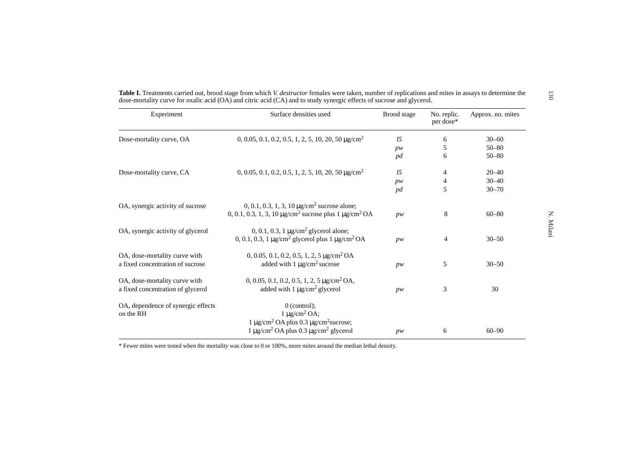| Experiment                                                         | Surface densities used                                                                                                                                              | Brood stage    | No. replic.<br>per dose* | Approx. no. mites |
|--------------------------------------------------------------------|---------------------------------------------------------------------------------------------------------------------------------------------------------------------|----------------|--------------------------|-------------------|
| Dose-mortality curve, OA                                           | $0, 0.05, 0.1, 0.2, 0.5, 1, 2, 5, 10, 20, 50 \,\text{kg/cm}^2$                                                                                                      | l <sub>2</sub> | 6                        | $30 - 60$         |
|                                                                    |                                                                                                                                                                     | pw             | 5                        | $50 - 80$         |
|                                                                    |                                                                                                                                                                     | pd             | 6                        | $50 - 80$         |
| Dose-mortality curve, CA                                           | $0, 0.05, 0.1, 0.2, 0.5, 1, 2, 5, 10, 20, 50 \,\mathrm{\mu g/cm^2}$                                                                                                 | l <sub>2</sub> | 4                        | $20 - 40$         |
|                                                                    |                                                                                                                                                                     | pw             | 4                        | $30 - 40$         |
|                                                                    |                                                                                                                                                                     | pd             | 5                        | $30 - 70$         |
| OA, synergic activity of sucrose                                   | 0, 0.1, 0.3, 1, 3, 10 $\mu$ g/cm <sup>2</sup> sucrose alone;<br>0, 0.1, 0.3, 1, 3, 10 $\mu$ g/cm <sup>2</sup> sucrose plus 1 $\mu$ g/cm <sup>2</sup> OA             | pw             | 8                        | $60 - 80$         |
| OA, synergic activity of glycerol                                  | 0, 0.1, 0.3, 1 $\mu$ g/cm <sup>2</sup> glycerol alone;<br>0, 0.1, 0.3, 1 $\mu$ g/cm <sup>2</sup> glycerol plus 1 $\mu$ g/cm <sup>2</sup> OA                         | pw             | $\overline{4}$           | $30 - 50$         |
| OA, dose-mortality curve with<br>a fixed concentration of sucrose  | $0, 0.05, 0.1, 0.2, 0.5, 1, 2, 5 \mu$ g/cm <sup>2</sup> OA<br>added with $1 \mu g/cm^2$ sucrose                                                                     | pw             | 5                        | $30 - 50$         |
| OA, dose-mortality curve with<br>a fixed concentration of glycerol | $0, 0.05, 0.1, 0.2, 0.5, 1, 2, 5 \mu g/cm^2 OA$<br>added with $1 \mu g/cm^2$ glycerol                                                                               | pw             | 3                        | 30                |
| OA, dependence of synergic effects<br>on the RH                    | $0$ (control);<br>$1 \mu g/cm^2 OA$ ;<br>$1 \mu$ g/cm <sup>2</sup> OA plus 0.3 $\mu$ g/cm <sup>2</sup> sucrose;<br>$1 \mu g/cm^2$ OA plus 0.3 $\mu g/cm^2$ glycerol | pw             | 6                        | $60 - 90$         |

\* Fewer mites were tested when the mortality was close to 0 or 100%, more mites around the median lethal density.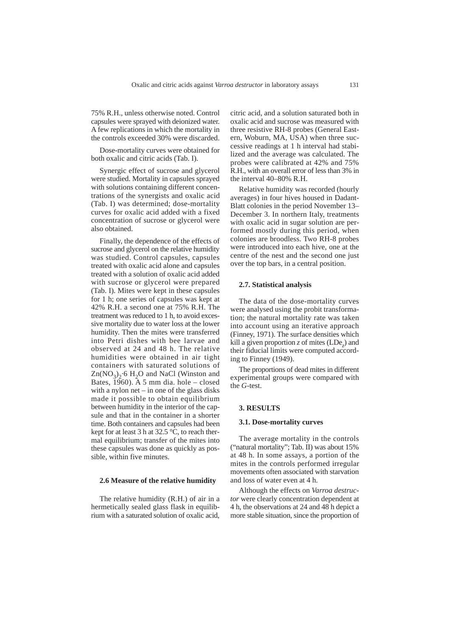75% R.H., unless otherwise noted. Control capsules were sprayed with deionized water. A few replications in which the mortality in the controls exceeded 30% were discarded.

Dose-mortality curves were obtained for both oxalic and citric acids (Tab. I).

Synergic effect of sucrose and glycerol were studied. Mortality in capsules sprayed with solutions containing different concentrations of the synergists and oxalic acid (Tab. I) was determined; dose-mortality curves for oxalic acid added with a fixed concentration of sucrose or glycerol were also obtained.

Finally, the dependence of the effects of sucrose and glycerol on the relative humidity was studied. Control capsules, capsules treated with oxalic acid alone and capsules treated with a solution of oxalic acid added with sucrose or glycerol were prepared (Tab. I). Mites were kept in these capsules for 1 h; one series of capsules was kept at 42% R.H. a second one at 75% R.H. The treatment was reduced to 1 h, to avoid excessive mortality due to water loss at the lower humidity. Then the mites were transferred into Petri dishes with bee larvae and observed at 24 and 48 h. The relative humidities were obtained in air tight containers with saturated solutions of  $Zn(NO_3)$ <sup>2</sup> 6 H<sub>2</sub>O and NaCl (Winston and Bates, 1960). A 5 mm dia. hole – closed with a nylon net – in one of the glass disks made it possible to obtain equilibrium between humidity in the interior of the capsule and that in the container in a shorter time. Both containers and capsules had been kept for at least 3 h at 32.5 °C, to reach thermal equilibrium; transfer of the mites into these capsules was done as quickly as possible, within five minutes.

#### **2.6 Measure of the relative humidity**

The relative humidity (R.H.) of air in a hermetically sealed glass flask in equilibrium with a saturated solution of oxalic acid, citric acid, and a solution saturated both in oxalic acid and sucrose was measured with three resistive RH-8 probes (General Eastern, Woburn, MA, USA) when three successive readings at 1 h interval had stabilized and the average was calculated. The probes were calibrated at 42% and 75% R.H., with an overall error of less than 3% in the interval 40–80% R.H.

Relative humidity was recorded (hourly averages) in four hives housed in Dadant-Blatt colonies in the period November 13– December 3. In northern Italy, treatments with oxalic acid in sugar solution are performed mostly during this period, when colonies are broodless. Two RH-8 probes were introduced into each hive, one at the centre of the nest and the second one just over the top bars, in a central position.

# **2.7. Statistical analysis**

The data of the dose-mortality curves were analysed using the probit transformation; the natural mortality rate was taken into account using an iterative approach (Finney, 1971). The surface densities which kill a given proportion *z* of mites  $(LDe_z)$  and their fiducial limits were computed according to Finney (1949).

The proportions of dead mites in different experimental groups were compared with the *G*-test.

#### **3. RESULTS**

#### **3.1. Dose-mortality curves**

The average mortality in the controls ("natural mortality"; Tab. II) was about 15% at 48 h. In some assays, a portion of the mites in the controls performed irregular movements often associated with starvation and loss of water even at 4 h.

Although the effects on *Varroa destructor* were clearly concentration dependent at 4 h, the observations at 24 and 48 h depict a more stable situation, since the proportion of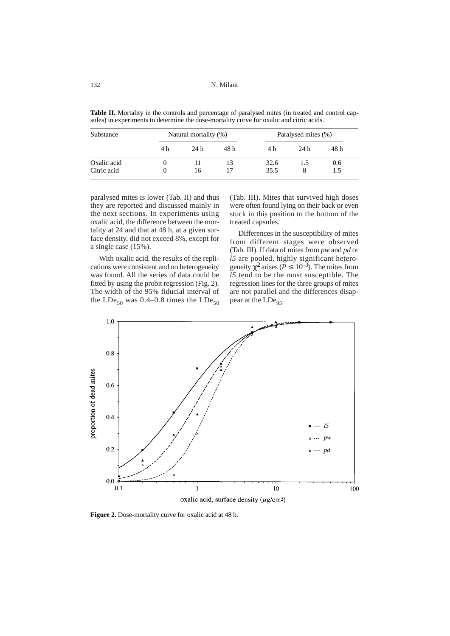132 N. Milani

|  |  | Table II. Mortality in the controls and percentage of paralysed mites (in treated and control cap- |  |  |  |  |  |
|--|--|----------------------------------------------------------------------------------------------------|--|--|--|--|--|
|  |  | sules) in experiments to determine the dose-mortality curve for oxalic and citric acids.           |  |  |  |  |  |

| Substance                  |     | Natural mortality (%) |      | Paralysed mites (%) |      |      |
|----------------------------|-----|-----------------------|------|---------------------|------|------|
|                            | 4 h | 24 h                  | 48 h | 4 h                 | 24 h | 48 h |
| Oxalic acid<br>Citric acid |     | 16                    | 13   | 32.6<br>35.5        |      | 0.6  |

paralysed mites is lower (Tab. II) and thus they are reported and discussed mainly in the next sections. In experiments using oxalic acid, the difference between the mortality at 24 and that at 48 h, at a given surface density, did not exceed 8%, except for a single case (15%).

With oxalic acid, the results of the replications were consistent and no heterogeneity was found. All the series of data could be fitted by using the probit regression (Fig. 2). The width of the 95% fiducial interval of the LDe<sub>50</sub> was 0.4–0.8 times the LDe<sub>50</sub> (Tab. III). Mites that survived high doses were often found lying on their back or even stuck in this position to the bottom of the treated capsules.

Differences in the susceptibility of mites from different stages were observed (Tab. III). If data of mites from *pw* and *pd* or *l5* are pooled, highly significant heterogeneity  $\chi^2$  arises ( $P \leq 10^{-3}$ ). The mites from *l5* tend to be the most susceptible. The regression lines for the three groups of mites are not parallel and the differences disappear at the  $LDe_{95}$ .



**Figure 2.** Dose-mortality curve for oxalic acid at 48 h.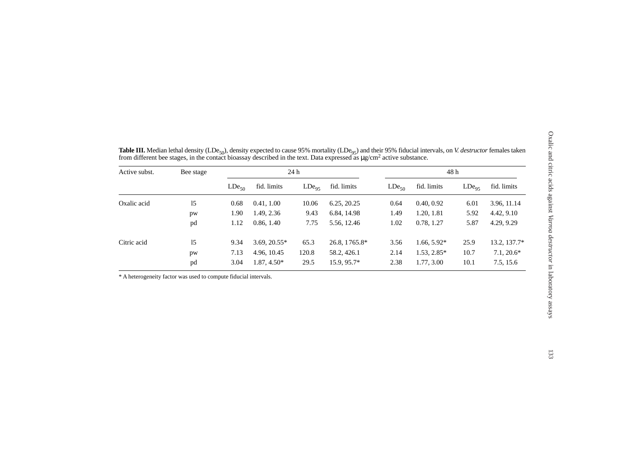| fid. limits<br>fid. limits<br>$LDe_{95}$<br>0.40, 0.92<br>3.96, 11.14<br>6.01<br>4.42, 9.10<br>1.20, 1.81<br>5.92<br>0.78, 1.27<br>5.87<br>4.29, 9.29<br>$1.66, 5.92*$<br>25.9<br>13.2, 137.7* |
|------------------------------------------------------------------------------------------------------------------------------------------------------------------------------------------------|
|                                                                                                                                                                                                |
|                                                                                                                                                                                                |
|                                                                                                                                                                                                |
|                                                                                                                                                                                                |
|                                                                                                                                                                                                |
| $1.53, 2.85*$<br>$7.1, 20.6*$<br>10.7                                                                                                                                                          |
| 7.5, 15.6<br>1.77, 3.00<br>10.1                                                                                                                                                                |
|                                                                                                                                                                                                |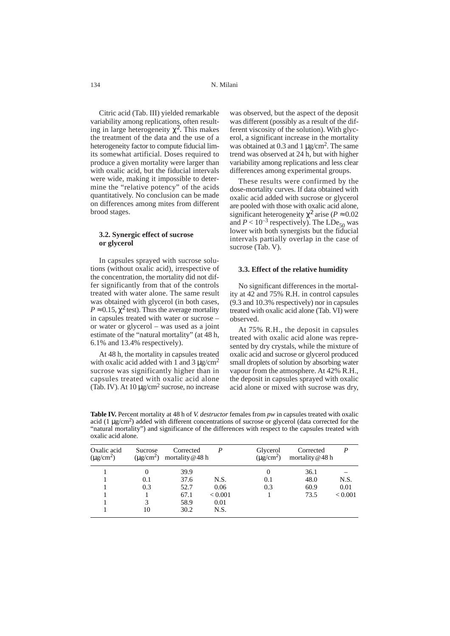Citric acid (Tab. III) yielded remarkable variability among replications, often resulting in large heterogeneity  $\chi^2$ . This makes the treatment of the data and the use of a heterogeneity factor to compute fiducial limits somewhat artificial. Doses required to produce a given mortality were larger than with oxalic acid, but the fiducial intervals were wide, making it impossible to determine the "relative potency" of the acids quantitatively. No conclusion can be made on differences among mites from different brood stages.

#### **3.2. Synergic effect of sucrose or glycerol**

In capsules sprayed with sucrose solutions (without oxalic acid), irrespective of the concentration, the mortality did not differ significantly from that of the controls treated with water alone. The same result was obtained with glycerol (in both cases,  $P \approx 0.15$ ,  $\chi^2$  test). Thus the average mortality in capsules treated with water or sucrose – or water or glycerol – was used as a joint estimate of the "natural mortality" (at 48 h, 6.1% and 13.4% respectively).

At 48 h, the mortality in capsules treated with oxalic acid added with 1 and 3  $\mu$ g/cm<sup>2</sup> sucrose was significantly higher than in capsules treated with oxalic acid alone (Tab. IV). At  $10 \mu g/cm^2$  sucrose, no increase was observed, but the aspect of the deposit was different (possibly as a result of the different viscosity of the solution). With glycerol, a significant increase in the mortality was obtained at 0.3 and 1  $\mu$ g/cm<sup>2</sup>. The same trend was observed at 24 h, but with higher variability among replications and less clear differences among experimental groups.

These results were confirmed by the dose-mortality curves. If data obtained with oxalic acid added with sucrose or glycerol are pooled with those with oxalic acid alone, significant heterogeneity  $\chi^2$  arise ( $P \approx 0.02$ ) and  $P < 10^{-3}$  respectively). The LDe<sub>50</sub> was lower with both synergists but the fiducial intervals partially overlap in the case of sucrose (Tab. V).

#### **3.3. Effect of the relative humidity**

No significant differences in the mortality at 42 and 75% R.H. in control capsules (9.3 and 10.3% respectively) nor in capsules treated with oxalic acid alone (Tab. VI) were observed.

At 75% R.H., the deposit in capsules treated with oxalic acid alone was represented by dry crystals, while the mixture of oxalic acid and sucrose or glycerol produced small droplets of solution by absorbing water vapour from the atmosphere. At 42% R.H., the deposit in capsules sprayed with oxalic acid alone or mixed with sucrose was dry,

Oxalic acid Sucrose Corrected *P* Glycerol Corrected *P*<br>( $\mu$ g/cm<sup>2</sup>) ( $\mu$ g/cm<sup>2</sup>) mortality @ 48 h ( $\mu$ g/cm<sup>2</sup>) mortality @ 48 h mortality @48 h 1 0 39.9 0 36.1 – 1 0.1 37.6 N.S. 0.1 48.0 N.S. 1 0.3 52.7 0.06 0.3 60.9 0.01 1 1 67.1 < 0.001 1 73.5 < 0.001 1 3 58.9 0.01 1 10 30.2 N.S.

**Table IV.** Percent mortality at 48 h of *V. destructor* females from *pw* in capsules treated with oxalic acid (1  $\mu$ g/cm<sup>2</sup>) added with different concentrations of sucrose or glycerol (data corrected for the "natural mortality") and significance of the differences with respect to the capsules treated with oxalic acid alone.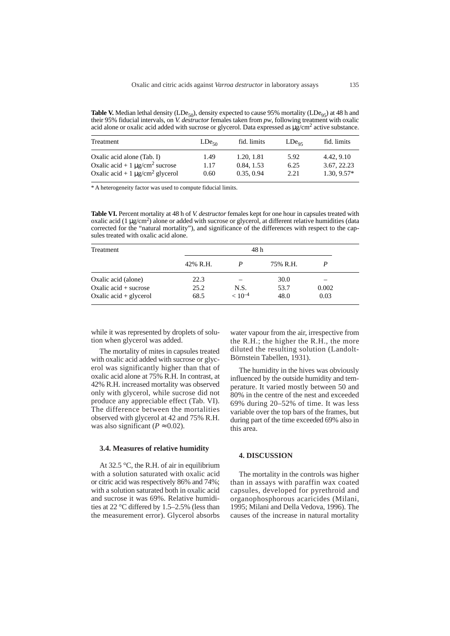**Table V.** Median lethal density (LDe<sub>50</sub>), density expected to cause 95% mortality (LDe<sub>95</sub>) at 48 h and their 95% fiducial intervals, on *V. destructor* females taken from *pw*, following treatment with oxalic acid alone or oxalic acid added with sucrose or glycerol. Data expressed as  $\mu$ g/cm<sup>2</sup> active substance.

| Treatment                                        | $LDe_{50}$ | fid. limits | $LDe_{05}$ | fid. limits   |
|--------------------------------------------------|------------|-------------|------------|---------------|
| Oxalic acid alone (Tab. I)                       | 1.49       | 1.20, 1.81  | 5.92       | 4.42, 9.10    |
| Oxalic acid + 1 $\mu$ g/cm <sup>2</sup> sucrose  | 1.17       | 0.84, 1.53  | 6.25       | 3.67, 22.23   |
| Oxalic acid + 1 $\mu$ g/cm <sup>2</sup> glycerol | 0.60       | 0.35, 0.94  | 2.21       | $1.30, 9.57*$ |

\* A heterogeneity factor was used to compute fiducial limits.

**Table VI.** Percent mortality at 48 h of *V. destructor* females kept for one hour in capsules treated with oxalic acid (1  $\mu$ g/cm<sup>2</sup>) alone or added with sucrose or glycerol, at different relative humidities (data corrected for the "natural mortality"), and significance of the differences with respect to the capsules treated with oxalic acid alone.

| <b>Treatment</b>                       |          |             |          |       |
|----------------------------------------|----------|-------------|----------|-------|
|                                        | 42% R.H. |             | 75% R.H. |       |
| Oxalic acid (alone)                    | 22.3     |             | 30.0     |       |
| Oxalic $\text{acid} + \text{success}$  | 25.2     | N.S.        | 53.7     | 0.002 |
| Oxalic $\text{acid} + \text{glycerol}$ | 68.5     | $< 10^{-4}$ | 48.0     | 0.03  |

while it was represented by droplets of solution when glycerol was added.

The mortality of mites in capsules treated with oxalic acid added with sucrose or glycerol was significantly higher than that of oxalic acid alone at 75% R.H. In contrast, at 42% R.H. increased mortality was observed only with glycerol, while sucrose did not produce any appreciable effect (Tab. VI). The difference between the mortalities observed with glycerol at 42 and 75% R.H. was also significant ( $P \approx 0.02$ ).

#### **3.4. Measures of relative humidity**

At 32.5 °C, the R.H. of air in equilibrium with a solution saturated with oxalic acid or citric acid was respectively 86% and 74%; with a solution saturated both in oxalic acid and sucrose it was 69%. Relative humidities at 22 °C differed by 1.5–2.5% (less than the measurement error). Glycerol absorbs

water vapour from the air, irrespective from the R.H.; the higher the R.H., the more diluted the resulting solution (Landolt-Börnstein Tabellen, 1931).

The humidity in the hives was obviously influenced by the outside humidity and temperature. It varied mostly between 50 and 80% in the centre of the nest and exceeded 69% during 20–52% of time. It was less variable over the top bars of the frames, but during part of the time exceeded 69% also in this area.

#### **4. DISCUSSION**

The mortality in the controls was higher than in assays with paraffin wax coated capsules, developed for pyrethroid and organophosphorous acaricides (Milani, 1995; Milani and Della Vedova, 1996). The causes of the increase in natural mortality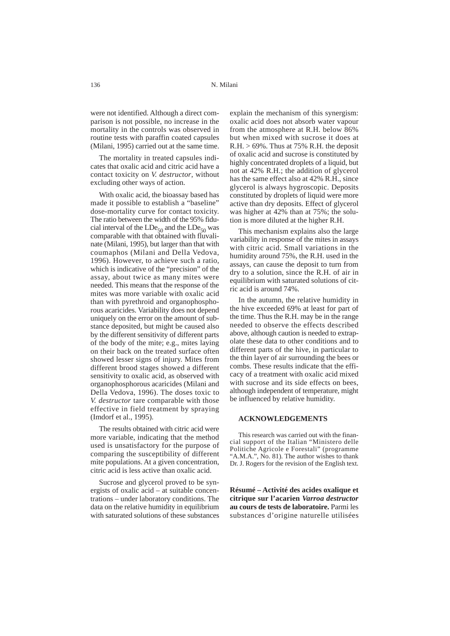were not identified. Although a direct comparison is not possible, no increase in the mortality in the controls was observed in routine tests with paraffin coated capsules (Milani, 1995) carried out at the same time.

The mortality in treated capsules indicates that oxalic acid and citric acid have a contact toxicity on *V. destructor*, without excluding other ways of action.

With oxalic acid, the bioassay based has made it possible to establish a "baseline" dose-mortality curve for contact toxicity. The ratio between the width of the 95% fiducial interval of the  $LDe_{50}$  and the  $LDe_{50}$  was comparable with that  $\vec{\text{obtained}}$  with fluvalinate (Milani, 1995), but larger than that with coumaphos (Milani and Della Vedova, 1996). However, to achieve such a ratio, which is indicative of the "precision" of the assay, about twice as many mites were needed. This means that the response of the mites was more variable with oxalic acid than with pyrethroid and organophosphorous acaricides. Variability does not depend uniquely on the error on the amount of substance deposited, but might be caused also by the different sensitivity of different parts of the body of the mite; e.g., mites laying on their back on the treated surface often showed lesser signs of injury. Mites from different brood stages showed a different sensitivity to oxalic acid, as observed with organophosphorous acaricides (Milani and Della Vedova, 1996). The doses toxic to *V. destructor* tare comparable with those effective in field treatment by spraying (Imdorf et al., 1995).

The results obtained with citric acid were more variable, indicating that the method used is unsatisfactory for the purpose of comparing the susceptibility of different mite populations. At a given concentration, citric acid is less active than oxalic acid.

Sucrose and glycerol proved to be synergists of oxalic acid – at suitable concentrations – under laboratory conditions. The data on the relative humidity in equilibrium with saturated solutions of these substances explain the mechanism of this synergism: oxalic acid does not absorb water vapour from the atmosphere at R.H. below 86% but when mixed with sucrose it does at  $R.H. > 69\%$ . Thus at 75% R.H. the deposit of oxalic acid and sucrose is constituted by highly concentrated droplets of a liquid, but not at 42% R.H.; the addition of glycerol has the same effect also at 42% R.H., since glycerol is always hygroscopic. Deposits constituted by droplets of liquid were more active than dry deposits. Effect of glycerol was higher at 42% than at 75%; the solution is more diluted at the higher R.H.

This mechanism explains also the large variability in response of the mites in assays with citric acid. Small variations in the humidity around 75%, the R.H. used in the assays, can cause the deposit to turn from dry to a solution, since the R.H. of air in equilibrium with saturated solutions of citric acid is around 74%.

In the autumn, the relative humidity in the hive exceeded 69% at least for part of the time. Thus the R.H. may be in the range needed to observe the effects described above, although caution is needed to extrapolate these data to other conditions and to different parts of the hive, in particular to the thin layer of air surrounding the bees or combs. These results indicate that the efficacy of a treatment with oxalic acid mixed with sucrose and its side effects on bees, although independent of temperature, might be influenced by relative humidity.

### **ACKNOWLEDGEMENTS**

This research was carried out with the financial support of the Italian "Ministero delle Politiche Agricole e Forestali" (programme "A.M.A.", No. 81). The author wishes to thank Dr. J. Rogers for the revision of the English text.

**Résumé – Activité des acides oxalique et citrique sur l'acarien** *Varroa destructor* **au cours de tests de laboratoire.** Parmi les substances d'origine naturelle utilisées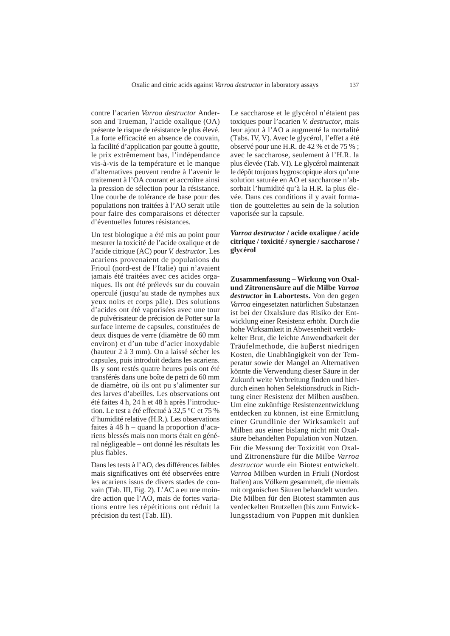contre l'acarien *Varroa destructor* Anderson and Trueman, l'acide oxalique (OA) présente le risque de résistance le plus élevé. La forte efficacité en absence de couvain, la facilité d'application par goutte à goutte, le prix extrêmement bas, l'indépendance vis-à-vis de la température et le manque d'alternatives peuvent rendre à l'avenir le traitement à l'OA courant et accroître ainsi la pression de sélection pour la résistance. Une courbe de tolérance de base pour des populations non traitées à l'AO serait utile pour faire des comparaisons et détecter d'éventuelles futures résistances.

Un test biologique a été mis au point pour mesurer la toxicité de l'acide oxalique et de l'acide citrique (AC) pour *V. destructor*. Les acariens provenaient de populations du Frioul (nord-est de l'Italie) qui n'avaient jamais été traitées avec ces acides organiques. Ils ont été prélevés sur du couvain operculé (jusqu'au stade de nymphes aux yeux noirs et corps pâle). Des solutions d'acides ont été vaporisées avec une tour de pulvérisateur de précision de Potter sur la surface interne de capsules, constituées de deux disques de verre (diamètre de 60 mm environ) et d'un tube d'acier inoxydable (hauteur 2 à 3 mm). On a laissé sécher les capsules, puis introduit dedans les acariens. Ils y sont restés quatre heures puis ont été transférés dans une boîte de petri de 60 mm de diamètre, où ils ont pu s'alimenter sur des larves d'abeilles. Les observations ont été faites 4 h, 24 h et 48 h après l'introduction. Le test a été effectué à 32,5 °C et 75 % d'humidité relative (H.R.). Les observations faites à 48 h – quand la proportion d'acariens blessés mais non morts était en général négligeable – ont donné les résultats les plus fiables.

Dans les tests à l'AO, des différences faibles mais significatives ont été observées entre les acariens issus de divers stades de couvain (Tab. III, Fig. 2). L'AC a eu une moindre action que l'AO, mais de fortes variations entre les répétitions ont réduit la précision du test (Tab. III).

Le saccharose et le glycérol n'étaient pas toxiques pour l'acarien *V. destructor*, mais leur ajout à l'AO a augmenté la mortalité (Tabs. IV, V). Avec le glycérol, l'effet a été observé pour une H.R. de 42 % et de 75 % ; avec le saccharose, seulement à l'H.R. la plus élevée (Tab. VI). Le glycérol maintenait le dépôt toujours hygroscopique alors qu'une solution saturée en AO et saccharose n'absorbait l'humidité qu'à la H.R. la plus élevée. Dans ces conditions il y avait formation de gouttelettes au sein de la solution vaporisée sur la capsule.

# *Varroa destructor* **/ acide oxalique / acide citrique / toxicité / synergie / saccharose / glycérol**

**Zusammenfassung – Wirkung von Oxalund Zitronensäure auf die Milbe** *Varroa destructor* **in Labortests.** Von den gegen *Varroa* eingesetzten natürlichen Substanzen ist bei der Oxalsäure das Risiko der Entwicklung einer Resistenz erhöht. Durch die hohe Wirksamkeit in Abwesenheit verdekkelter Brut, die leichte Anwendbarkeit der Träufelmethode, die äuβerst niedrigen Kosten, die Unabhängigkeit von der Temperatur sowie der Mangel an Alternativen könnte die Verwendung dieser Säure in der Zukunft weite Verbreitung finden und hierdurch einen hohen Selektionsdruck in Richtung einer Resistenz der Milben ausüben. Um eine zukünftige Resistenzentwicklung entdecken zu können, ist eine Ermittlung einer Grundlinie der Wirksamkeit auf Milben aus einer bislang nicht mit Oxalsäure behandelten Population von Nutzen. Für die Messung der Toxizität von Oxalund Zitronensäure für die Milbe *Varroa destructor* wurde ein Biotest entwickelt. *Varroa* Milben wurden in Friuli (Nordost Italien) aus Völkern gesammelt, die niemals mit organischen Säuren behandelt wurden. Die Milben für den Biotest stammten aus verdeckelten Brutzellen (bis zum Entwicklungsstadium von Puppen mit dunklen